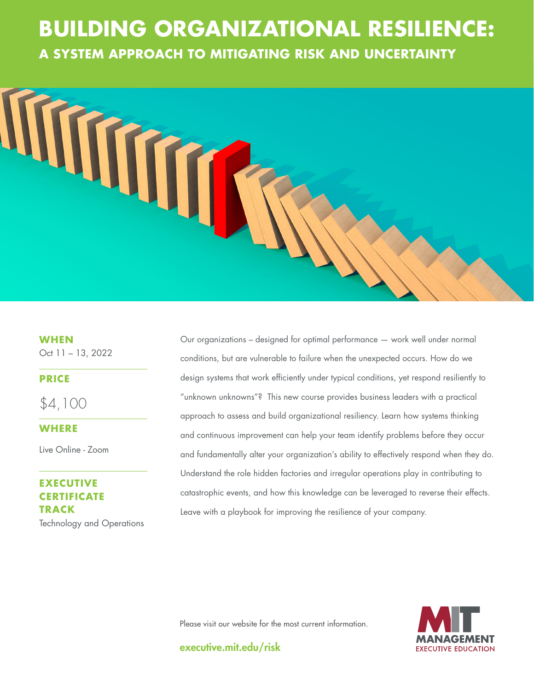# **THE GOOD JOBS A SYSTEM APPROACH TO MITIGATING RISK AND UNCERTAINTY BUILDING ORGANIZATIONAL RESILIENCE:**



**WHEN**

Oct 11 – 13, 2022

## **PRICE**

\$4,100

## **WHERE**

Live Online - Zoom

## **EXECUTIVE CERTIFICATE TRACK** Technology and Operations

Our organizations – designed for optimal performance — work well under normal conditions, but are vulnerable to failure when the unexpected occurs. How do we design systems that work efficiently under typical conditions, yet respond resiliently to "unknown unknowns"? This new course provides business leaders with a practical approach to assess and build organizational resiliency. Learn how systems thinking and continuous improvement can help your team identify problems before they occur and fundamentally alter your organization's ability to effectively respond when they do. Understand the role hidden factories and irregular operations play in contributing to catastrophic events, and how this knowledge can be leveraged to reverse their effects. Leave with a playbook for improving the resilience of your company.

Please visit our website for the most current information.



executive.mit.edu/risk